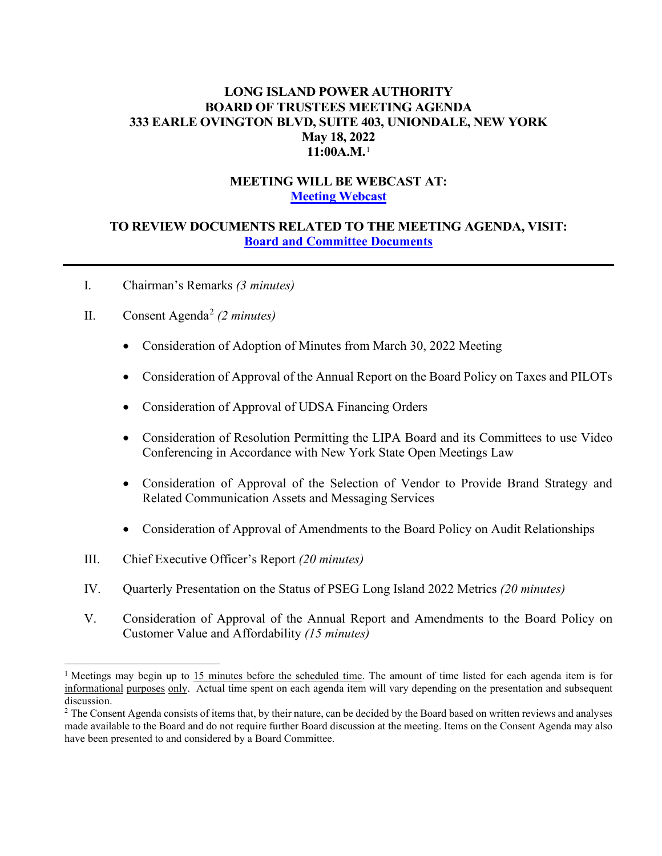# **LONG ISLAND POWER AUTHORITY BOARD OF TRUSTEES MEETING AGENDA 333 EARLE OVINGTON BLVD, SUITE 403, UNIONDALE, NEW YORK May 18, 2022 11:00A.M.**[1](#page-0-0)

# **MEETING WILL BE WEBCAST AT: [Meeting Webcast](https://www.lipower.org/about-us/boardoftrusteeslandingpage/board-webcasts-2/)**

# **TO REVIEW DOCUMENTS RELATED TO THE MEETING AGENDA, VISIT: [Board and Committee Documents](https://www.lipower.org/about-us/board-of-trustees/meetings/)**

I. Chairman's Remarks *(3 minutes)*

# II. Consent Agenda[2](#page-0-1) *(2 minutes)*

- Consideration of Adoption of Minutes from March 30, 2022 Meeting
- Consideration of Approval of the Annual Report on the Board Policy on Taxes and PILOTs
- Consideration of Approval of UDSA Financing Orders
- Consideration of Resolution Permitting the LIPA Board and its Committees to use Video Conferencing in Accordance with New York State Open Meetings Law
- Consideration of Approval of the Selection of Vendor to Provide Brand Strategy and Related Communication Assets and Messaging Services
- Consideration of Approval of Amendments to the Board Policy on Audit Relationships
- III. Chief Executive Officer's Report *(20 minutes)*
- IV. Quarterly Presentation on the Status of PSEG Long Island 2022 Metrics *(20 minutes)*
- V. Consideration of Approval of the Annual Report and Amendments to the Board Policy on Customer Value and Affordability *(15 minutes)*

<span id="page-0-0"></span><sup>&</sup>lt;sup>1</sup> Meetings may begin up to 15 minutes before the scheduled time. The amount of time listed for each agenda item is for informational purposes only. Actual time spent on each agenda item will vary depending on the presentation and subsequent discussion.

<span id="page-0-1"></span><sup>&</sup>lt;sup>2</sup> The Consent Agenda consists of items that, by their nature, can be decided by the Board based on written reviews and analyses made available to the Board and do not require further Board discussion at the meeting. Items on the Consent Agenda may also have been presented to and considered by a Board Committee.